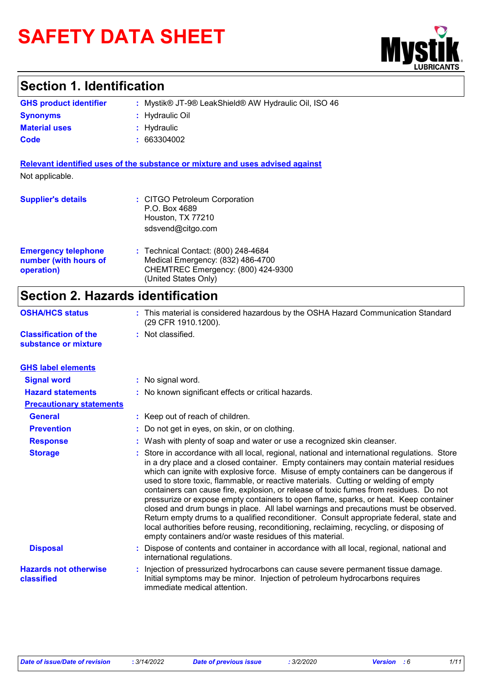# **SAFETY DATA SHEET**



# **Section 1. Identification**

| <b>GHS product identifier</b> | : Mystik® JT-9® LeakShield® AW Hydraulic Oil, ISO 46 |
|-------------------------------|------------------------------------------------------|
| <b>Synonyms</b>               | : Hydraulic Oil                                      |
| <b>Material uses</b>          | : Hydraulic                                          |
| Code                          | : 663304002                                          |

**Relevant identified uses of the substance or mixture and uses advised against** Not applicable.

| <b>Supplier's details</b>                                         | : CITGO Petroleum Corporation<br>P.O. Box 4689<br>Houston, TX 77210<br>sdsvend@citgo.com                                               |
|-------------------------------------------------------------------|----------------------------------------------------------------------------------------------------------------------------------------|
| <b>Emergency telephone</b><br>number (with hours of<br>operation) | : Technical Contact: (800) 248-4684<br>Medical Emergency: (832) 486-4700<br>CHEMTREC Emergency: (800) 424-9300<br>(United States Only) |

# **Section 2. Hazards identification**

| <b>OSHA/HCS status</b>                               | : This material is considered hazardous by the OSHA Hazard Communication Standard<br>(29 CFR 1910.1200). |
|------------------------------------------------------|----------------------------------------------------------------------------------------------------------|
| <b>Classification of the</b><br>substance or mixture | : Not classified.                                                                                        |

| <b>GHS label elements</b>                  |                                                                                                                                                                                                                                                                                                                                                                                                                                                                                                                                                                                                                                                                                                                                                                                                                                                                                                   |
|--------------------------------------------|---------------------------------------------------------------------------------------------------------------------------------------------------------------------------------------------------------------------------------------------------------------------------------------------------------------------------------------------------------------------------------------------------------------------------------------------------------------------------------------------------------------------------------------------------------------------------------------------------------------------------------------------------------------------------------------------------------------------------------------------------------------------------------------------------------------------------------------------------------------------------------------------------|
| <b>Signal word</b>                         | : No signal word.                                                                                                                                                                                                                                                                                                                                                                                                                                                                                                                                                                                                                                                                                                                                                                                                                                                                                 |
| <b>Hazard statements</b>                   | : No known significant effects or critical hazards.                                                                                                                                                                                                                                                                                                                                                                                                                                                                                                                                                                                                                                                                                                                                                                                                                                               |
| <b>Precautionary statements</b>            |                                                                                                                                                                                                                                                                                                                                                                                                                                                                                                                                                                                                                                                                                                                                                                                                                                                                                                   |
| <b>General</b>                             | : Keep out of reach of children.                                                                                                                                                                                                                                                                                                                                                                                                                                                                                                                                                                                                                                                                                                                                                                                                                                                                  |
| <b>Prevention</b>                          | : Do not get in eyes, on skin, or on clothing.                                                                                                                                                                                                                                                                                                                                                                                                                                                                                                                                                                                                                                                                                                                                                                                                                                                    |
| <b>Response</b>                            | : Wash with plenty of soap and water or use a recognized skin cleanser.                                                                                                                                                                                                                                                                                                                                                                                                                                                                                                                                                                                                                                                                                                                                                                                                                           |
| <b>Storage</b>                             | : Store in accordance with all local, regional, national and international regulations. Store<br>in a dry place and a closed container. Empty containers may contain material residues<br>which can ignite with explosive force. Misuse of empty containers can be dangerous if<br>used to store toxic, flammable, or reactive materials. Cutting or welding of empty<br>containers can cause fire, explosion, or release of toxic fumes from residues. Do not<br>pressurize or expose empty containers to open flame, sparks, or heat. Keep container<br>closed and drum bungs in place. All label warnings and precautions must be observed.<br>Return empty drums to a qualified reconditioner. Consult appropriate federal, state and<br>local authorities before reusing, reconditioning, reclaiming, recycling, or disposing of<br>empty containers and/or waste residues of this material. |
| <b>Disposal</b>                            | Dispose of contents and container in accordance with all local, regional, national and<br>international regulations.                                                                                                                                                                                                                                                                                                                                                                                                                                                                                                                                                                                                                                                                                                                                                                              |
| <b>Hazards not otherwise</b><br>classified | Injection of pressurized hydrocarbons can cause severe permanent tissue damage.<br>Initial symptoms may be minor. Injection of petroleum hydrocarbons requires<br>immediate medical attention.                                                                                                                                                                                                                                                                                                                                                                                                                                                                                                                                                                                                                                                                                                    |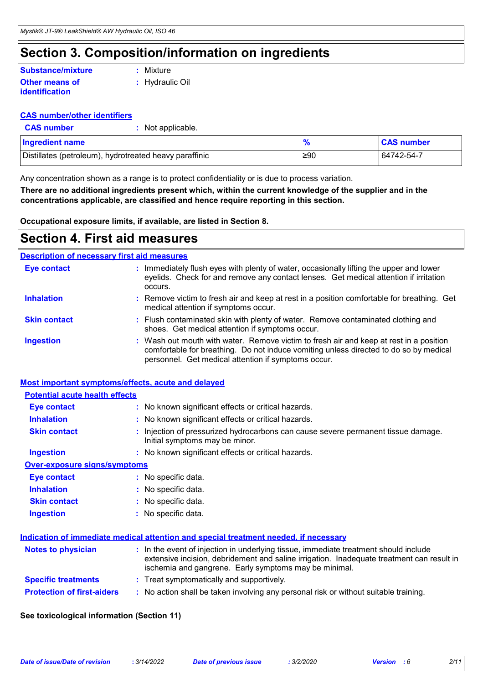# **Section 3. Composition/information on ingredients**

### **Other means of identification Substance/mixture**

**:** Mixture

**:** Hydraulic Oil

### **CAS number/other identifiers**

**:** Not applicable.

| Ingredient name                                        |     | <b>CAS number</b> |
|--------------------------------------------------------|-----|-------------------|
| Distillates (petroleum), hydrotreated heavy paraffinic | ≥90 | 64742-54-7        |

Any concentration shown as a range is to protect confidentiality or is due to process variation.

**There are no additional ingredients present which, within the current knowledge of the supplier and in the concentrations applicable, are classified and hence require reporting in this section.**

**Occupational exposure limits, if available, are listed in Section 8.**

### **Section 4. First aid measures**

### **Description of necessary first aid measures**

| <b>Eye contact</b>  | : Immediately flush eyes with plenty of water, occasionally lifting the upper and lower<br>eyelids. Check for and remove any contact lenses. Get medical attention if irritation<br>occurs.                                            |
|---------------------|----------------------------------------------------------------------------------------------------------------------------------------------------------------------------------------------------------------------------------------|
| <b>Inhalation</b>   | : Remove victim to fresh air and keep at rest in a position comfortable for breathing. Get<br>medical attention if symptoms occur.                                                                                                     |
| <b>Skin contact</b> | : Flush contaminated skin with plenty of water. Remove contaminated clothing and<br>shoes. Get medical attention if symptoms occur.                                                                                                    |
| <b>Ingestion</b>    | : Wash out mouth with water. Remove victim to fresh air and keep at rest in a position<br>comfortable for breathing. Do not induce vomiting unless directed to do so by medical<br>personnel. Get medical attention if symptoms occur. |

### **Most important symptoms/effects, acute and delayed**

| <b>Potential acute health effects</b> |                                                                                                                                                                                                                                            |
|---------------------------------------|--------------------------------------------------------------------------------------------------------------------------------------------------------------------------------------------------------------------------------------------|
| Eye contact                           | : No known significant effects or critical hazards.                                                                                                                                                                                        |
| <b>Inhalation</b>                     | : No known significant effects or critical hazards.                                                                                                                                                                                        |
| <b>Skin contact</b>                   | : Injection of pressurized hydrocarbons can cause severe permanent tissue damage.<br>Initial symptoms may be minor.                                                                                                                        |
| <b>Ingestion</b>                      | : No known significant effects or critical hazards.                                                                                                                                                                                        |
| <b>Over-exposure signs/symptoms</b>   |                                                                                                                                                                                                                                            |
| <b>Eye contact</b>                    | : No specific data.                                                                                                                                                                                                                        |
| <b>Inhalation</b>                     | : No specific data.                                                                                                                                                                                                                        |
| <b>Skin contact</b>                   | : No specific data.                                                                                                                                                                                                                        |
| <b>Ingestion</b>                      | : No specific data.                                                                                                                                                                                                                        |
|                                       | <u>Indication of immediate medical attention and special treatment needed, if necessary</u>                                                                                                                                                |
| <b>Notes to physician</b>             | : In the event of injection in underlying tissue, immediate treatment should include<br>extensive incision, debridement and saline irrigation. Inadequate treatment can result in<br>ischemia and gangrene. Early symptoms may be minimal. |
| <b>Specific treatments</b>            | : Treat symptomatically and supportively.                                                                                                                                                                                                  |
| <b>Protection of first-aiders</b>     | : No action shall be taken involving any personal risk or without suitable training.                                                                                                                                                       |

### **See toxicological information (Section 11)**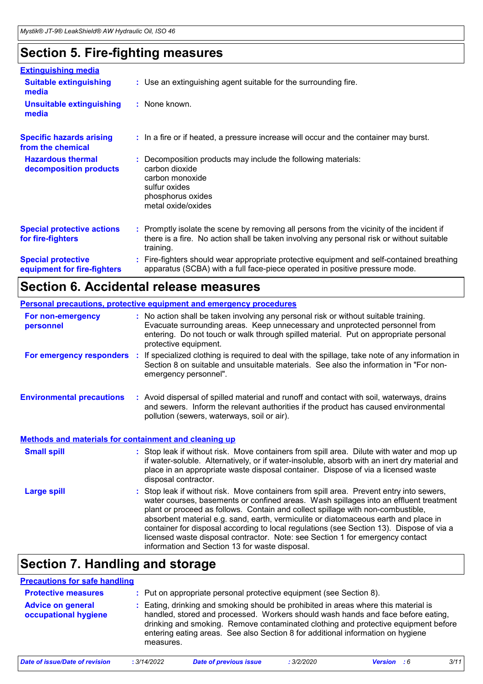# **Section 5. Fire-fighting measures**

| <b>Extinguishing media</b>                               |                                                                                                                                                                                                     |
|----------------------------------------------------------|-----------------------------------------------------------------------------------------------------------------------------------------------------------------------------------------------------|
| <b>Suitable extinguishing</b><br>media                   | : Use an extinguishing agent suitable for the surrounding fire.                                                                                                                                     |
| <b>Unsuitable extinguishing</b><br>media                 | : None known.                                                                                                                                                                                       |
| <b>Specific hazards arising</b><br>from the chemical     | : In a fire or if heated, a pressure increase will occur and the container may burst.                                                                                                               |
| <b>Hazardous thermal</b><br>decomposition products       | Decomposition products may include the following materials:<br>carbon dioxide<br>carbon monoxide<br>sulfur oxides<br>phosphorus oxides<br>metal oxide/oxides                                        |
| <b>Special protective actions</b><br>for fire-fighters   | : Promptly isolate the scene by removing all persons from the vicinity of the incident if<br>there is a fire. No action shall be taken involving any personal risk or without suitable<br>training. |
| <b>Special protective</b><br>equipment for fire-fighters | Fire-fighters should wear appropriate protective equipment and self-contained breathing<br>apparatus (SCBA) with a full face-piece operated in positive pressure mode.                              |

# **Section 6. Accidental release measures**

|                                                              | Personal precautions, protective equipment and emergency procedures                                                                                                                                                                                                                                                                                                                                                                                                                                                                                                                      |
|--------------------------------------------------------------|------------------------------------------------------------------------------------------------------------------------------------------------------------------------------------------------------------------------------------------------------------------------------------------------------------------------------------------------------------------------------------------------------------------------------------------------------------------------------------------------------------------------------------------------------------------------------------------|
| For non-emergency<br>personnel                               | : No action shall be taken involving any personal risk or without suitable training.<br>Evacuate surrounding areas. Keep unnecessary and unprotected personnel from<br>entering. Do not touch or walk through spilled material. Put on appropriate personal<br>protective equipment.                                                                                                                                                                                                                                                                                                     |
| For emergency responders :                                   | If specialized clothing is required to deal with the spillage, take note of any information in<br>Section 8 on suitable and unsuitable materials. See also the information in "For non-<br>emergency personnel".                                                                                                                                                                                                                                                                                                                                                                         |
| <b>Environmental precautions</b>                             | : Avoid dispersal of spilled material and runoff and contact with soil, waterways, drains<br>and sewers. Inform the relevant authorities if the product has caused environmental<br>pollution (sewers, waterways, soil or air).                                                                                                                                                                                                                                                                                                                                                          |
| <b>Methods and materials for containment and cleaning up</b> |                                                                                                                                                                                                                                                                                                                                                                                                                                                                                                                                                                                          |
| <b>Small spill</b>                                           | : Stop leak if without risk. Move containers from spill area. Dilute with water and mop up<br>if water-soluble. Alternatively, or if water-insoluble, absorb with an inert dry material and<br>place in an appropriate waste disposal container. Dispose of via a licensed waste<br>disposal contractor.                                                                                                                                                                                                                                                                                 |
| <b>Large spill</b>                                           | Stop leak if without risk. Move containers from spill area. Prevent entry into sewers,<br>water courses, basements or confined areas. Wash spillages into an effluent treatment<br>plant or proceed as follows. Contain and collect spillage with non-combustible,<br>absorbent material e.g. sand, earth, vermiculite or diatomaceous earth and place in<br>container for disposal according to local regulations (see Section 13). Dispose of via a<br>licensed waste disposal contractor. Note: see Section 1 for emergency contact<br>information and Section 13 for waste disposal. |

# **Section 7. Handling and storage**

| <b>Precautions for safe handling</b>                                                                                                                                                                                                                                                                                                                                                                            |             |                                                                     |            |                    |  |      |
|-----------------------------------------------------------------------------------------------------------------------------------------------------------------------------------------------------------------------------------------------------------------------------------------------------------------------------------------------------------------------------------------------------------------|-------------|---------------------------------------------------------------------|------------|--------------------|--|------|
| <b>Protective measures</b>                                                                                                                                                                                                                                                                                                                                                                                      |             | : Put on appropriate personal protective equipment (see Section 8). |            |                    |  |      |
| Eating, drinking and smoking should be prohibited in areas where this material is<br><b>Advice on general</b><br>handled, stored and processed. Workers should wash hands and face before eating,<br>occupational hygiene<br>drinking and smoking. Remove contaminated clothing and protective equipment before<br>entering eating areas. See also Section 8 for additional information on hygiene<br>measures. |             |                                                                     |            |                    |  |      |
| Date of issue/Date of revision                                                                                                                                                                                                                                                                                                                                                                                  | : 3/14/2022 | <b>Date of previous issue</b>                                       | : 3/2/2020 | <b>Version</b> : 6 |  | 3/11 |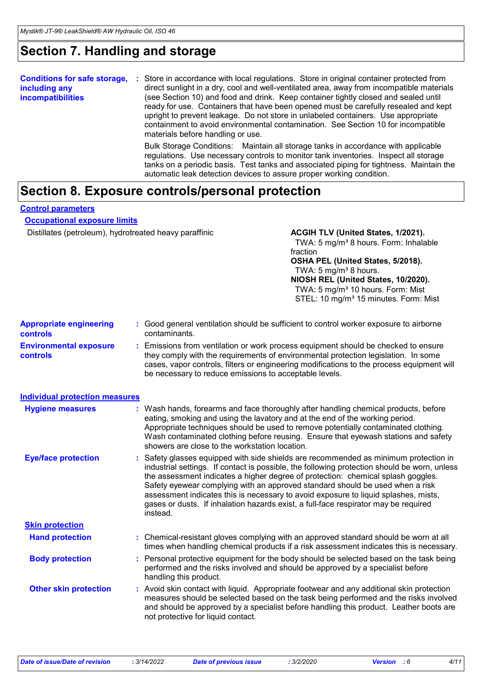# **Section 7. Handling and storage**

| <b>Conditions for safe storage,</b><br>including any<br><i>incompatibilities</i> | Store in accordance with local regulations. Store in original container protected from<br>п.<br>direct sunlight in a dry, cool and well-ventilated area, away from incompatible materials<br>(see Section 10) and food and drink. Keep container tightly closed and sealed until<br>ready for use. Containers that have been opened must be carefully resealed and kept<br>upright to prevent leakage. Do not store in unlabeled containers. Use appropriate<br>containment to avoid environmental contamination. See Section 10 for incompatible<br>materials before handling or use. |
|----------------------------------------------------------------------------------|----------------------------------------------------------------------------------------------------------------------------------------------------------------------------------------------------------------------------------------------------------------------------------------------------------------------------------------------------------------------------------------------------------------------------------------------------------------------------------------------------------------------------------------------------------------------------------------|
|                                                                                  | Bulk Storage Conditions: Maintain all storage tanks in accordance with applicable<br>regulations. Use necessary controls to monitor tank inventories. Inspect all storage<br>tanks on a periodic basis. Test tanks and associated piping for tightness. Maintain the<br>automatic leak detection devices to assure proper working condition.                                                                                                                                                                                                                                           |

# **Section 8. Exposure controls/personal protection**

### **Control parameters**

### **Occupational exposure limits**

Distillates (petroleum), hydrotreated heavy paraffinic **ACGIH TLV (United States, 1/2021).** 

TWA: 5 mg/m<sup>3</sup> 8 hours. Form: Inhalable fraction

#### **OSHA PEL (United States, 5/2018).** TWA:  $5 \text{ mg/m}^3$  8 hours. **NIOSH REL (United States, 10/2020).**

TWA: 5 mg/m<sup>3</sup> 10 hours. Form: Mist STEL: 10 mg/m<sup>3</sup> 15 minutes. Form: Mist

|                                                   | 01 LL. TV my/m TV minutes. I Umi. Mist                                                                                                                                                                                                                                                                                                                                                                                                                                                                                                              |  |
|---------------------------------------------------|-----------------------------------------------------------------------------------------------------------------------------------------------------------------------------------------------------------------------------------------------------------------------------------------------------------------------------------------------------------------------------------------------------------------------------------------------------------------------------------------------------------------------------------------------------|--|
| <b>Appropriate engineering</b><br><b>controls</b> | : Good general ventilation should be sufficient to control worker exposure to airborne<br>contaminants.                                                                                                                                                                                                                                                                                                                                                                                                                                             |  |
| <b>Environmental exposure</b><br><b>controls</b>  | : Emissions from ventilation or work process equipment should be checked to ensure<br>they comply with the requirements of environmental protection legislation. In some<br>cases, vapor controls, filters or engineering modifications to the process equipment will<br>be necessary to reduce emissions to acceptable levels.                                                                                                                                                                                                                     |  |
| <b>Individual protection measures</b>             |                                                                                                                                                                                                                                                                                                                                                                                                                                                                                                                                                     |  |
| <b>Hygiene measures</b>                           | : Wash hands, forearms and face thoroughly after handling chemical products, before<br>eating, smoking and using the lavatory and at the end of the working period.<br>Appropriate techniques should be used to remove potentially contaminated clothing.<br>Wash contaminated clothing before reusing. Ensure that eyewash stations and safety<br>showers are close to the workstation location.                                                                                                                                                   |  |
| <b>Eye/face protection</b>                        | : Safety glasses equipped with side shields are recommended as minimum protection in<br>industrial settings. If contact is possible, the following protection should be worn, unless<br>the assessment indicates a higher degree of protection: chemical splash goggles.<br>Safety eyewear complying with an approved standard should be used when a risk<br>assessment indicates this is necessary to avoid exposure to liquid splashes, mists,<br>gases or dusts. If inhalation hazards exist, a full-face respirator may be required<br>instead. |  |
| <b>Skin protection</b>                            |                                                                                                                                                                                                                                                                                                                                                                                                                                                                                                                                                     |  |
| <b>Hand protection</b>                            | : Chemical-resistant gloves complying with an approved standard should be worn at all<br>times when handling chemical products if a risk assessment indicates this is necessary.                                                                                                                                                                                                                                                                                                                                                                    |  |
| <b>Body protection</b>                            | : Personal protective equipment for the body should be selected based on the task being<br>performed and the risks involved and should be approved by a specialist before<br>handling this product.                                                                                                                                                                                                                                                                                                                                                 |  |
| <b>Other skin protection</b>                      | : Avoid skin contact with liquid. Appropriate footwear and any additional skin protection<br>measures should be selected based on the task being performed and the risks involved                                                                                                                                                                                                                                                                                                                                                                   |  |

not protective for liquid contact.

and should be approved by a specialist before handling this product. Leather boots are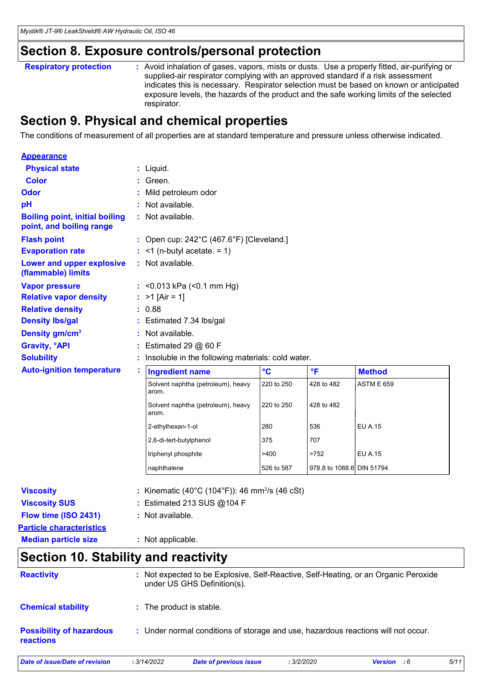# **Section 8. Exposure controls/personal protection**

Avoid inhalation of gases, vapors, mists or dusts. Use a properly fitted, air-purifying or supplied-air respirator complying with an approved standard if a risk assessment indicates this is necessary. Respirator selection must be based on known or anticipated exposure levels, the hazards of the product and the safe working limits of the selected respirator. **Respiratory protection :**

# **Section 9. Physical and chemical properties**

The conditions of measurement of all properties are at standard temperature and pressure unless otherwise indicated.

| <b>Appearance</b>                                                 |                                                            |              |                           |                   |
|-------------------------------------------------------------------|------------------------------------------------------------|--------------|---------------------------|-------------------|
| <b>Physical state</b>                                             | $:$ Liquid.                                                |              |                           |                   |
| <b>Color</b>                                                      | Green.                                                     |              |                           |                   |
| Odor                                                              | Mild petroleum odor                                        |              |                           |                   |
| рH                                                                | Not available.                                             |              |                           |                   |
| <b>Boiling point, initial boiling</b><br>point, and boiling range | : Not available.                                           |              |                           |                   |
| <b>Flash point</b>                                                | : Open cup: $242^{\circ}$ C (467.6°F) [Cleveland.]         |              |                           |                   |
| <b>Evaporation rate</b>                                           | $:$ <1 (n-butyl acetate. = 1)                              |              |                           |                   |
| Lower and upper explosive<br>(flammable) limits                   | : Not available.                                           |              |                           |                   |
| <b>Vapor pressure</b>                                             | : < $0.013$ kPa (< $0.1$ mm Hg)                            |              |                           |                   |
| <b>Relative vapor density</b>                                     | : $>1$ [Air = 1]                                           |              |                           |                   |
| <b>Relative density</b>                                           | : 0.88                                                     |              |                           |                   |
| <b>Density Ibs/gal</b>                                            | : Estimated 7.34 lbs/gal                                   |              |                           |                   |
| Density gm/cm <sup>3</sup>                                        | : Not available.                                           |              |                           |                   |
| <b>Gravity, °API</b>                                              | Estimated 29 $@$ 60 F                                      |              |                           |                   |
| <b>Solubility</b>                                                 | Insoluble in the following materials: cold water.          |              |                           |                   |
| <b>Auto-ignition temperature</b>                                  | <b>Ingredient name</b>                                     | $\mathbf{C}$ | °F                        | <b>Method</b>     |
|                                                                   | Solvent naphtha (petroleum), heavy<br>arom.                | 220 to 250   | 428 to 482                | <b>ASTM E 659</b> |
|                                                                   | Solvent naphtha (petroleum), heavy<br>arom.                | 220 to 250   | 428 to 482                |                   |
|                                                                   | 2-ethylhexan-1-ol                                          | 280          | 536                       | <b>EU A.15</b>    |
|                                                                   | 2,6-di-tert-butylphenol                                    | 375          | 707                       |                   |
|                                                                   | triphenyl phosphite                                        | >400         | >752                      | <b>EU A.15</b>    |
|                                                                   | naphthalene                                                | 526 to 587   | 978.8 to 1088.6 DIN 51794 |                   |
| <b>Viscosity</b>                                                  | : Kinematic (40°C (104°F)): 46 mm <sup>2</sup> /s (46 cSt) |              |                           |                   |
| <b>Viscosity SUS</b>                                              | : Estimated 213 SUS @104 F                                 |              |                           |                   |
| Flow time (ISO 2431)                                              | : Not available.                                           |              |                           |                   |
| <b>Particle characteristics</b>                                   |                                                            |              |                           |                   |
| <b>Median particle size</b>                                       | : Not applicable.                                          |              |                           |                   |
| <b>Section 10. Stability and reactivity</b>                       |                                                            |              |                           |                   |

| <b>Reactivity</b>                            |             | : Not expected to be Explosive, Self-Reactive, Self-Heating, or an Organic Peroxide<br>under US GHS Definition(s). |            |                    |      |
|----------------------------------------------|-------------|--------------------------------------------------------------------------------------------------------------------|------------|--------------------|------|
| <b>Chemical stability</b>                    |             | : The product is stable.                                                                                           |            |                    |      |
| <b>Possibility of hazardous</b><br>reactions |             | : Under normal conditions of storage and use, hazardous reactions will not occur.                                  |            |                    |      |
| Date of issue/Date of revision               | : 3/14/2022 | Date of previous issue                                                                                             | : 3/2/2020 | <b>Version</b> : 6 | 5/11 |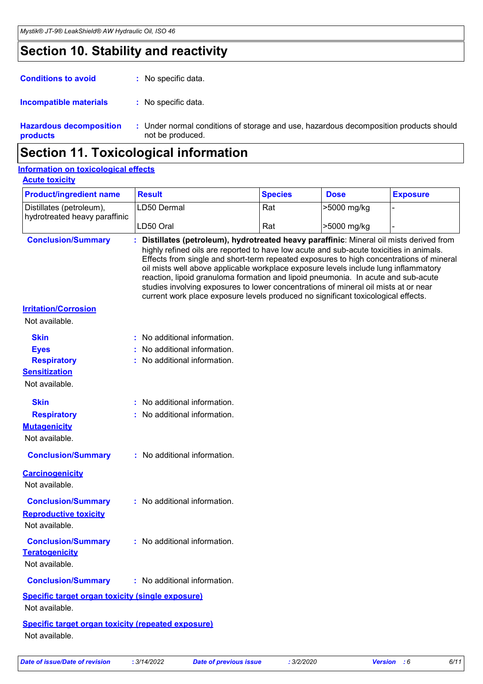# **Section 10. Stability and reactivity**

| <b>Conditions to avoid</b>                 | : No specific data.                          |
|--------------------------------------------|----------------------------------------------|
| Incompatible materials                     | : No specific data.                          |
| <b>Hazardous decomposition</b><br>products | : Under normal condition<br>not be produced. |

ditions of storage and use, hazardous decomposition products should not be produced.

# **Section 11. Toxicological information**

### **Acute toxicity Information on toxicological effects**

| <b>Product/ingredient name</b>                                                             | <b>Result</b>                                                                                                                                                                                                                                                                                                                                                                                                                                                                                                                                                                                                                        | <b>Species</b> | <b>Dose</b> | <b>Exposure</b> |
|--------------------------------------------------------------------------------------------|--------------------------------------------------------------------------------------------------------------------------------------------------------------------------------------------------------------------------------------------------------------------------------------------------------------------------------------------------------------------------------------------------------------------------------------------------------------------------------------------------------------------------------------------------------------------------------------------------------------------------------------|----------------|-------------|-----------------|
| Distillates (petroleum),                                                                   | LD50 Dermal                                                                                                                                                                                                                                                                                                                                                                                                                                                                                                                                                                                                                          | Rat            | >5000 mg/kg |                 |
| hydrotreated heavy paraffinic                                                              | LD50 Oral                                                                                                                                                                                                                                                                                                                                                                                                                                                                                                                                                                                                                            | Rat            | >5000 mg/kg |                 |
| <b>Conclusion/Summary</b>                                                                  | Distillates (petroleum), hydrotreated heavy paraffinic: Mineral oil mists derived from<br>highly refined oils are reported to have low acute and sub-acute toxicities in animals.<br>Effects from single and short-term repeated exposures to high concentrations of mineral<br>oil mists well above applicable workplace exposure levels include lung inflammatory<br>reaction, lipoid granuloma formation and lipoid pneumonia. In acute and sub-acute<br>studies involving exposures to lower concentrations of mineral oil mists at or near<br>current work place exposure levels produced no significant toxicological effects. |                |             |                 |
| <b>Irritation/Corrosion</b><br>Not available.                                              |                                                                                                                                                                                                                                                                                                                                                                                                                                                                                                                                                                                                                                      |                |             |                 |
| <b>Skin</b><br><b>Eyes</b><br><b>Respiratory</b><br><b>Sensitization</b><br>Not available. | : No additional information.<br>No additional information.<br>: No additional information.                                                                                                                                                                                                                                                                                                                                                                                                                                                                                                                                           |                |             |                 |
| <b>Skin</b><br><b>Respiratory</b><br><b>Mutagenicity</b><br>Not available.                 | : No additional information.<br>: No additional information.                                                                                                                                                                                                                                                                                                                                                                                                                                                                                                                                                                         |                |             |                 |
| <b>Conclusion/Summary</b>                                                                  | : No additional information.                                                                                                                                                                                                                                                                                                                                                                                                                                                                                                                                                                                                         |                |             |                 |
| <b>Carcinogenicity</b><br>Not available.                                                   |                                                                                                                                                                                                                                                                                                                                                                                                                                                                                                                                                                                                                                      |                |             |                 |
| <b>Conclusion/Summary</b><br><b>Reproductive toxicity</b><br>Not available.                | : No additional information.                                                                                                                                                                                                                                                                                                                                                                                                                                                                                                                                                                                                         |                |             |                 |
| <b>Conclusion/Summary</b><br><b>Teratogenicity</b><br>Not available.                       | : No additional information.                                                                                                                                                                                                                                                                                                                                                                                                                                                                                                                                                                                                         |                |             |                 |
| <b>Conclusion/Summary</b>                                                                  | : No additional information.                                                                                                                                                                                                                                                                                                                                                                                                                                                                                                                                                                                                         |                |             |                 |
| <b>Specific target organ toxicity (single exposure)</b><br>Not available.                  |                                                                                                                                                                                                                                                                                                                                                                                                                                                                                                                                                                                                                                      |                |             |                 |
| <b>Specific target organ toxicity (repeated exposure)</b><br>Not available.                |                                                                                                                                                                                                                                                                                                                                                                                                                                                                                                                                                                                                                                      |                |             |                 |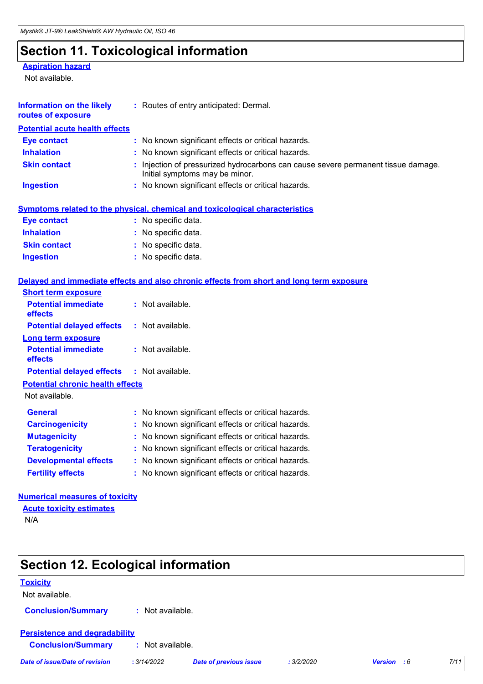# **Section 11. Toxicological information**

### **Aspiration hazard**

Not available.

| <b>Information on the likely</b><br>routes of exposure | : Routes of entry anticipated: Dermal.                                                                              |
|--------------------------------------------------------|---------------------------------------------------------------------------------------------------------------------|
| <b>Potential acute health effects</b>                  |                                                                                                                     |
| <b>Eye contact</b>                                     | : No known significant effects or critical hazards.                                                                 |
| <b>Inhalation</b>                                      | : No known significant effects or critical hazards.                                                                 |
| <b>Skin contact</b>                                    | : Injection of pressurized hydrocarbons can cause severe permanent tissue damage.<br>Initial symptoms may be minor. |
| <b>Ingestion</b>                                       | : No known significant effects or critical hazards.                                                                 |
|                                                        | <b>Symptoms related to the physical, chemical and toxicological characteristics</b>                                 |
| <b>Eye contact</b>                                     | : No specific data.                                                                                                 |
| <b>Inhalation</b>                                      | : No specific data.                                                                                                 |
| <b>Skin contact</b>                                    | : No specific data.                                                                                                 |
| <b>Ingestion</b>                                       | : No specific data.                                                                                                 |
|                                                        | Delayed and immediate effects and also chronic effects from short and long term exposure                            |
| <b>Short term exposure</b>                             |                                                                                                                     |
| <b>Potential immediate</b><br>effects                  | : Not available.                                                                                                    |
| <b>Potential delayed effects</b>                       | : Not available.                                                                                                    |
| Long term exposure                                     |                                                                                                                     |
| <b>Potential immediate</b><br>effects                  | : Not available.                                                                                                    |
| <b>Potential delayed effects</b>                       | $:$ Not available.                                                                                                  |
| <b>Potential chronic health effects</b>                |                                                                                                                     |
| Not available.                                         |                                                                                                                     |
| <b>General</b>                                         | : No known significant effects or critical hazards.                                                                 |
| <b>Carcinogenicity</b>                                 | No known significant effects or critical hazards.                                                                   |
| <b>Mutagenicity</b>                                    | : No known significant effects or critical hazards.                                                                 |
| <b>Teratogenicity</b>                                  | : No known significant effects or critical hazards.                                                                 |
| <b>Developmental effects</b>                           | : No known significant effects or critical hazards.                                                                 |
| <b>Fertility effects</b>                               | : No known significant effects or critical hazards.                                                                 |

### **Numerical measures of toxicity Acute toxicity estimates**

N/A

| <b>Section 12. Ecological information</b> |                      |                               |            |                    |      |
|-------------------------------------------|----------------------|-------------------------------|------------|--------------------|------|
| <b>Toxicity</b>                           |                      |                               |            |                    |      |
| Not available.                            |                      |                               |            |                    |      |
| <b>Conclusion/Summary</b>                 | Not available.<br>÷. |                               |            |                    |      |
| <b>Persistence and degradability</b>      |                      |                               |            |                    |      |
| <b>Conclusion/Summary</b>                 | : Not available.     |                               |            |                    |      |
| <b>Date of issue/Date of revision</b>     | : 3/14/2022          | <b>Date of previous issue</b> | : 3/2/2020 | <b>Version</b> : 6 | 7/11 |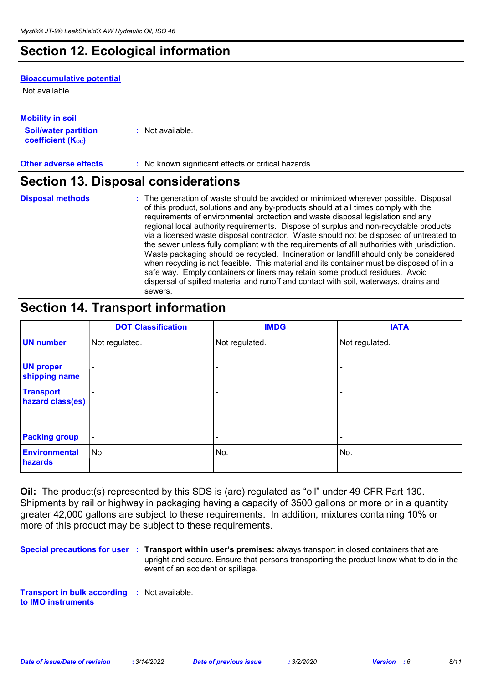# **Section 12. Ecological information**

### **Bioaccumulative potential**

Not available.

### **Mobility in soil**

| <b>Soil/water partition</b> | : Not available. |
|-----------------------------|------------------|
| <b>coefficient (Koc)</b>    |                  |

**Other adverse effects** : No known significant effects or critical hazards.

### **Section 13. Disposal considerations**

**Disposal methods :**

The generation of waste should be avoided or minimized wherever possible. Disposal of this product, solutions and any by-products should at all times comply with the requirements of environmental protection and waste disposal legislation and any regional local authority requirements. Dispose of surplus and non-recyclable products via a licensed waste disposal contractor. Waste should not be disposed of untreated to the sewer unless fully compliant with the requirements of all authorities with jurisdiction. Waste packaging should be recycled. Incineration or landfill should only be considered when recycling is not feasible. This material and its container must be disposed of in a safe way. Empty containers or liners may retain some product residues. Avoid dispersal of spilled material and runoff and contact with soil, waterways, drains and sewers.

## **Section 14. Transport information**

|                                      | <b>DOT Classification</b> | <b>IMDG</b>    | <b>IATA</b>    |
|--------------------------------------|---------------------------|----------------|----------------|
| <b>UN number</b>                     | Not regulated.            | Not regulated. | Not regulated. |
| <b>UN proper</b><br>shipping name    |                           |                |                |
| <b>Transport</b><br>hazard class(es) |                           | ۰              | -              |
| <b>Packing group</b>                 | $\blacksquare$            | ۰              | ٠              |
| <b>Environmental</b><br>hazards      | No.                       | No.            | No.            |

**Oil:** The product(s) represented by this SDS is (are) regulated as "oil" under 49 CFR Part 130. Shipments by rail or highway in packaging having a capacity of 3500 gallons or more or in a quantity greater 42,000 gallons are subject to these requirements. In addition, mixtures containing 10% or more of this product may be subject to these requirements.

**Special precautions for user Transport within user's premises:** always transport in closed containers that are **:** upright and secure. Ensure that persons transporting the product know what to do in the event of an accident or spillage.

**Transport in bulk according :** Not available. **to IMO instruments**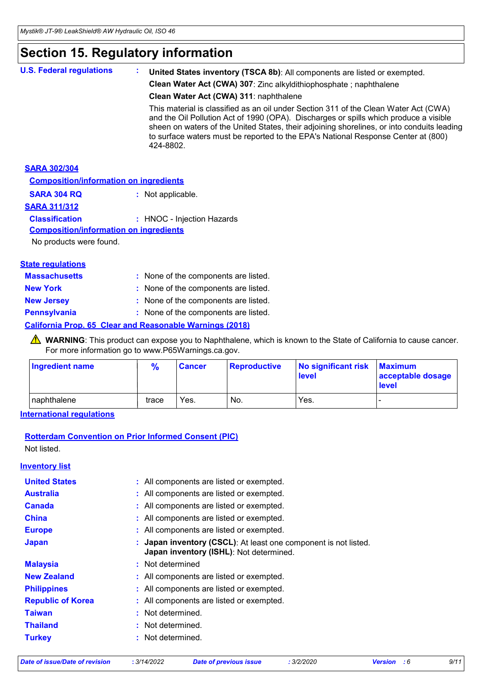# **Section 15. Regulatory information**

| <b>U.S. Federal regulations</b>               | United States inventory (TSCA 8b): All components are listed or exempted.                                                                                                                                                                                                                                                                                                     |
|-----------------------------------------------|-------------------------------------------------------------------------------------------------------------------------------------------------------------------------------------------------------------------------------------------------------------------------------------------------------------------------------------------------------------------------------|
|                                               | Clean Water Act (CWA) 307: Zinc alkyldithiophosphate; naphthalene                                                                                                                                                                                                                                                                                                             |
|                                               | Clean Water Act (CWA) 311: naphthalene                                                                                                                                                                                                                                                                                                                                        |
|                                               | This material is classified as an oil under Section 311 of the Clean Water Act (CWA)<br>and the Oil Pollution Act of 1990 (OPA). Discharges or spills which produce a visible<br>sheen on waters of the United States, their adjoining shorelines, or into conduits leading<br>to surface waters must be reported to the EPA's National Response Center at (800)<br>424-8802. |
| <b>SARA 302/304</b>                           |                                                                                                                                                                                                                                                                                                                                                                               |
| <b>Composition/information on ingredients</b> |                                                                                                                                                                                                                                                                                                                                                                               |

### **SARA 304 RQ :** Not applicable.

### **SARA 311/312**

### **Classification :** HNOC - Injection Hazards

#### **Composition/information on ingredients**

No products were found.

### **State regulations**

| <b>Massachusetts</b> | : None of the components are listed.                     |
|----------------------|----------------------------------------------------------|
| <b>New York</b>      | : None of the components are listed.                     |
| <b>New Jersey</b>    | : None of the components are listed.                     |
| <b>Pennsylvania</b>  | : None of the components are listed.                     |
|                      | California Prop. 65 Clear and Reasonable Warnings (2018) |

### WARNING: This product can expose you to Naphthalene, which is known to the State of California to cause cancer. For more information go to www.P65Warnings.ca.gov.

| <b>Ingredient name</b> | $\frac{9}{6}$ | <b>Cancer</b> | Reproductive | No significant risk<br><b>level</b> | <b>Maximum</b><br>acceptable dosage<br>level |
|------------------------|---------------|---------------|--------------|-------------------------------------|----------------------------------------------|
| Inaphthalene           | trace         | Yes.          | No.          | Yes.                                |                                              |

### **International regulations**

### **Rotterdam Convention on Prior Informed Consent (PIC)**

Not listed.

### **Inventory list Australia :** All components are listed or exempted. **Canada :** All components are listed or exempted. **China :** All components are listed or exempted. **Europe :** All components are listed or exempted. **Japan : Japan inventory (CSCL)**: At least one component is not listed. **Japan inventory (ISHL)**: Not determined. **Republic of Korea :** All components are listed or exempted. **Malaysia :** Not determined **New Zealand :** All components are listed or exempted. **Philippines :** All components are listed or exempted. **Taiwan :** Not determined. **Turkey :** Not determined. **United States :** All components are listed or exempted. **Thailand :** Not determined.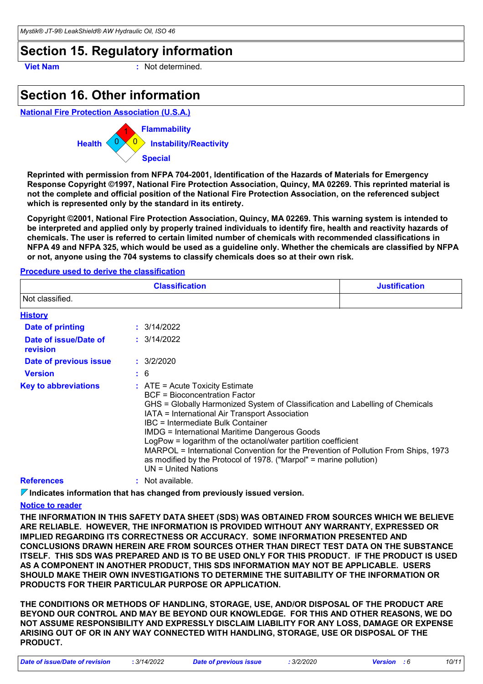# **Section 15. Regulatory information**

**Viet Nam :** Not determined.

# **Section 16. Other information**

**National Fire Protection Association (U.S.A.)**



**Reprinted with permission from NFPA 704-2001, Identification of the Hazards of Materials for Emergency Response Copyright ©1997, National Fire Protection Association, Quincy, MA 02269. This reprinted material is not the complete and official position of the National Fire Protection Association, on the referenced subject which is represented only by the standard in its entirety.**

**Copyright ©2001, National Fire Protection Association, Quincy, MA 02269. This warning system is intended to be interpreted and applied only by properly trained individuals to identify fire, health and reactivity hazards of chemicals. The user is referred to certain limited number of chemicals with recommended classifications in NFPA 49 and NFPA 325, which would be used as a guideline only. Whether the chemicals are classified by NFPA or not, anyone using the 704 systems to classify chemicals does so at their own risk.**

#### **Procedure used to derive the classification**

|                                   | <b>Justification</b>                                                                                                                                                                                                                                                                                                                                                                                                                                                                                                                                                     |  |  |
|-----------------------------------|--------------------------------------------------------------------------------------------------------------------------------------------------------------------------------------------------------------------------------------------------------------------------------------------------------------------------------------------------------------------------------------------------------------------------------------------------------------------------------------------------------------------------------------------------------------------------|--|--|
| Not classified.                   |                                                                                                                                                                                                                                                                                                                                                                                                                                                                                                                                                                          |  |  |
| <b>History</b>                    |                                                                                                                                                                                                                                                                                                                                                                                                                                                                                                                                                                          |  |  |
| <b>Date of printing</b>           | : 3/14/2022                                                                                                                                                                                                                                                                                                                                                                                                                                                                                                                                                              |  |  |
| Date of issue/Date of<br>revision | : 3/14/2022                                                                                                                                                                                                                                                                                                                                                                                                                                                                                                                                                              |  |  |
| Date of previous issue            | : 3/2/2020                                                                                                                                                                                                                                                                                                                                                                                                                                                                                                                                                               |  |  |
| <b>Version</b>                    | $\frac{1}{2}$ 6                                                                                                                                                                                                                                                                                                                                                                                                                                                                                                                                                          |  |  |
| <b>Key to abbreviations</b>       | $\therefore$ ATE = Acute Toxicity Estimate<br><b>BCF</b> = Bioconcentration Factor<br>GHS = Globally Harmonized System of Classification and Labelling of Chemicals<br>IATA = International Air Transport Association<br>IBC = Intermediate Bulk Container<br><b>IMDG = International Maritime Dangerous Goods</b><br>LogPow = logarithm of the octanol/water partition coefficient<br>MARPOL = International Convention for the Prevention of Pollution From Ships, 1973<br>as modified by the Protocol of 1978. ("Marpol" = marine pollution)<br>$UN = United Nations$ |  |  |
| <b>References</b>                 | Not available.                                                                                                                                                                                                                                                                                                                                                                                                                                                                                                                                                           |  |  |

**Indicates information that has changed from previously issued version.**

#### **Notice to reader**

**THE INFORMATION IN THIS SAFETY DATA SHEET (SDS) WAS OBTAINED FROM SOURCES WHICH WE BELIEVE ARE RELIABLE. HOWEVER, THE INFORMATION IS PROVIDED WITHOUT ANY WARRANTY, EXPRESSED OR IMPLIED REGARDING ITS CORRECTNESS OR ACCURACY. SOME INFORMATION PRESENTED AND CONCLUSIONS DRAWN HEREIN ARE FROM SOURCES OTHER THAN DIRECT TEST DATA ON THE SUBSTANCE ITSELF. THIS SDS WAS PREPARED AND IS TO BE USED ONLY FOR THIS PRODUCT. IF THE PRODUCT IS USED AS A COMPONENT IN ANOTHER PRODUCT, THIS SDS INFORMATION MAY NOT BE APPLICABLE. USERS SHOULD MAKE THEIR OWN INVESTIGATIONS TO DETERMINE THE SUITABILITY OF THE INFORMATION OR PRODUCTS FOR THEIR PARTICULAR PURPOSE OR APPLICATION.**

**THE CONDITIONS OR METHODS OF HANDLING, STORAGE, USE, AND/OR DISPOSAL OF THE PRODUCT ARE BEYOND OUR CONTROL AND MAY BE BEYOND OUR KNOWLEDGE. FOR THIS AND OTHER REASONS, WE DO NOT ASSUME RESPONSIBILITY AND EXPRESSLY DISCLAIM LIABILITY FOR ANY LOSS, DAMAGE OR EXPENSE ARISING OUT OF OR IN ANY WAY CONNECTED WITH HANDLING, STORAGE, USE OR DISPOSAL OF THE PRODUCT.**

*Date of issue/Date of revision* **:** *3/14/2022 Date of previous issue : 3/2/2020 Version : 6 10/11*